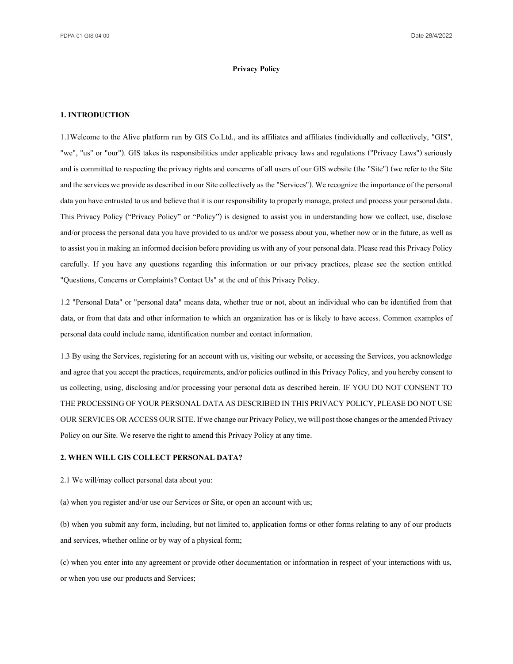## **Privacy Policy**

#### **1. INTRODUCTION**

1.1Welcome to the Alive platform run by GIS Co.Ltd., and its affiliates and affiliates (individually and collectively, "GIS", "we", "us" or "our"). GIS takes its responsibilities under applicable privacy laws and regulations ("Privacy Laws") seriously and is committed to respecting the privacy rights and concerns of all users of our GIS website (the "Site") (we refer to the Site and the services we provide as described in our Site collectively as the "Services"). We recognize the importance of the personal data you have entrusted to us and believe that it is our responsibility to properly manage, protect and process your personal data. This Privacy Policy ("Privacy Policy" or "Policy") is designed to assist you in understanding how we collect, use, disclose and/or process the personal data you have provided to us and/or we possess about you, whether now or in the future, as well as to assist you in making an informed decision before providing us with any of your personal data. Please read this Privacy Policy carefully. If you have any questions regarding this information or our privacy practices, please see the section entitled "Questions, Concerns or Complaints? Contact Us" at the end of this Privacy Policy.

1.2 "Personal Data" or "personal data" means data, whether true or not, about an individual who can be identified from that data, or from that data and other information to which an organization has or is likely to have access. Common examples of personal data could include name, identification number and contact information.

1.3 By using the Services, registering for an account with us, visiting our website, or accessing the Services, you acknowledge and agree that you accept the practices, requirements, and/or policies outlined in this Privacy Policy, and you hereby consent to us collecting, using, disclosing and/or processing your personal data as described herein. IF YOU DO NOT CONSENT TO THE PROCESSING OF YOUR PERSONAL DATA AS DESCRIBED IN THIS PRIVACY POLICY, PLEASE DO NOT USE OUR SERVICES OR ACCESS OUR SITE. If we change our Privacy Policy, we will post those changes or the amended Privacy Policy on our Site. We reserve the right to amend this Privacy Policy at any time.

#### **2.WHEN WILL GIS COLLECT PERSONAL DATA?**

2.1 We will/may collect personal data about you:

(a) when you register and/or use our Services or Site, or open an account with us;

(b) when you submit any form, including, but not limited to, application forms or other forms relating to any of our products and services, whether online or by way of a physical form;

(c) when you enter into any agreement or provide other documentation or information in respect of your interactions with us, or when you use our products and Services;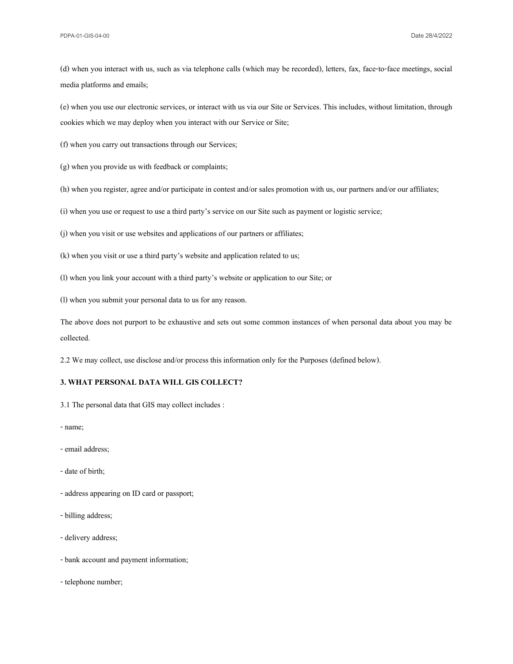(d) when you interact with us, such as via telephone calls (which may be recorded), letters, fax, face-to-face meetings, social media platforms and emails;

(e) when you use our electronic services, or interact with us via our Site or Services. This includes, without limitation, through cookies which we may deploy when you interact with our Service or Site;

(f) when you carry out transactions through our Services;

(g) when you provide us with feedback or complaints;

(h) when you register, agree and/or participate in contest and/or sales promotion with us, our partners and/or our affiliates;

(i) when you use or request to use a third party's service on our Site such as payment or logistic service;

(j) when you visit or use websites and applications of our partners or affiliates;

(k) when you visit or use a third party's website and application related to us;

(l) when you link your account with a third party's website or application to our Site; or

(l) when you submit your personal data to us for any reason.

The above does not purport to be exhaustive and sets out some common instances of when personal data about you may be collected.

2.2 We may collect, use disclose and/or process this information only for the Purposes (defined below).

# **3. WHAT PERSONAL DATA WILL GIS COLLECT?**

3.1 The personal data that GIS may collect includes :

- -name;
- email address;
- -date of birth;
- address appearing on ID card or passport;
- -billing address;
- delivery address;
- -bank account and payment information;
- telephone number;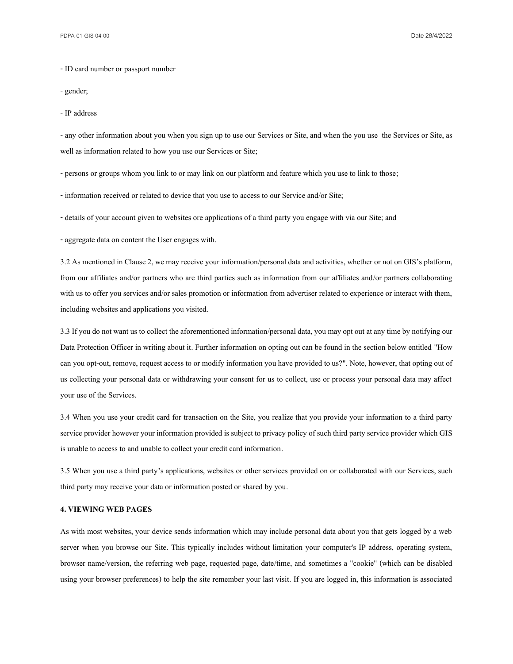- ID card number or passport number

-gender;

- IP address

- any other information about you when you sign up to use our Services or Site, and when the you use the Services or Site, as well as information related to how you use our Services or Site;

-persons or groups whom you link to or may link on our platform and feature which you use to link to those;

- information received or related to device that you use to access to our Service and/or Site;

-details of your account given to websites ore applications of a third party you engage with via our Site; and

- aggregate data on content the User engages with.

3.2 As mentioned in Clause 2, we may receive your information/personal data and activities, whether or not on GIS's platform, from our affiliates and/or partners who are third parties such as information from our affiliates and/or partners collaborating with us to offer you services and/or sales promotion or information from advertiser related to experience or interact with them, including websites and applications you visited.

3.3If you do not want us to collect the aforementioned information/personal data, you may opt out at any time by notifying our Data Protection Officer in writing about it. Further information on opting out can be found in the section below entitled "How can you opt-out, remove, request access to or modify information you have provided to us?". Note, however, that opting out of us collecting your personal data or withdrawing your consent for us to collect, use or process your personal data may affect your use of the Services.

3.4 When you use your credit card for transaction on the Site, you realize that you provide your information to a third party service provider however your information provided is subject to privacy policy of such third party service provider which GIS is unable to access to and unable to collect your credit card information.

3.5 When you use a third party's applications, websites or other services provided on or collaborated with our Services, such third party may receive your data or information posted or shared by you.

#### **4. VIEWING WEB PAGES**

As with most websites, your device sends information which may include personal data about you that gets logged by a web server when you browse our Site. This typically includes without limitation your computer's IP address, operating system, browser name/version, the referring web page, requested page, date/time, and sometimes a "cookie" (which can be disabled using your browser preferences) to help the site remember your last visit. If you are logged in, this information is associated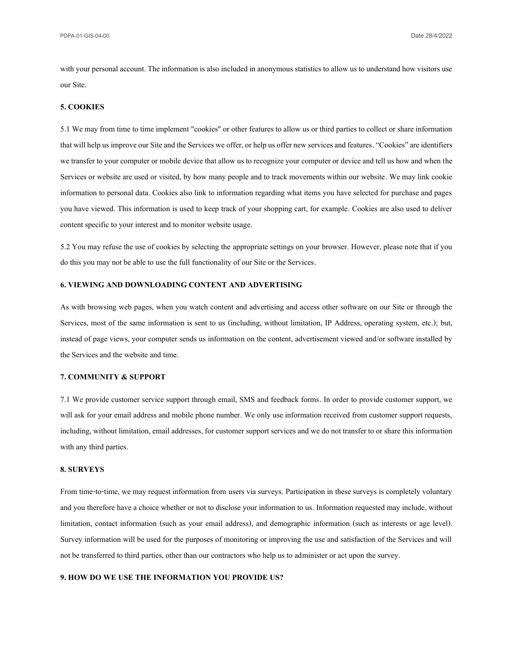PDPA-01-GIS-04-00 Date 28/4/2022

with your personal account. The information is also included in anonymous statistics to allow us to understand how visitors use our Site.

# **5. COOKIES**

5.1 We may from time to time implement "cookies" or other features to allow us or third parties to collect or share information that will help us improve our Site and the Services we offer, or help us offer new services and features. "Cookies" are identifiers we transfer to your computer or mobile device that allow us to recognize your computer or device and tell us how and when the Services or website are used or visited, by how many people and to track movements within our website. We may link cookie information to personal data. Cookies also link to information regarding what items you have selected for purchase and pages you have viewed. This information is used to keep track of your shopping cart, for example. Cookies are also used to deliver content specific to your interest and to monitor website usage.

5.2 You may refuse the use of cookies by selecting the appropriate settings on your browser. However, please note that if you do this you may not be able to use the full functionality of our Site or the Services.

### **6. VIEWING AND DOWNLOADING CONTENT AND ADVERTISING**

As with browsing web pages, when you watch content and advertising and access other software on our Site or through the Services, most of the same information is sent to us (including, without limitation, IP Address, operating system, etc.); but, instead of page views, your computer sends us information on the content, advertisement viewed and/or software installed by the Services and the website and time.

#### **7. COMMUNITY & SUPPORT**

7.1 We provide customer service support through email, SMS and feedback forms. In order to provide customer support, we will ask for your email address and mobile phone number. We only use information received from customer support requests, including, without limitation, email addresses, for customer support services and we do not transfer to or share this information with any third parties.

# **8. SURVEYS**

From time-to-time, we may request information from users via surveys. Participation in these surveys is completely voluntary and you therefore have a choice whether or not to disclose your information to us. Information requested may include, without limitation, contact information (such as your email address), and demographic information (such as interests or age level). Survey information will be used for the purposes of monitoring or improving the use and satisfaction of the Services and will not be transferred to third parties, other than our contractors who help us to administer or act upon the survey.

### **9. HOW DO WE USE THE INFORMATION YOU PROVIDE US?**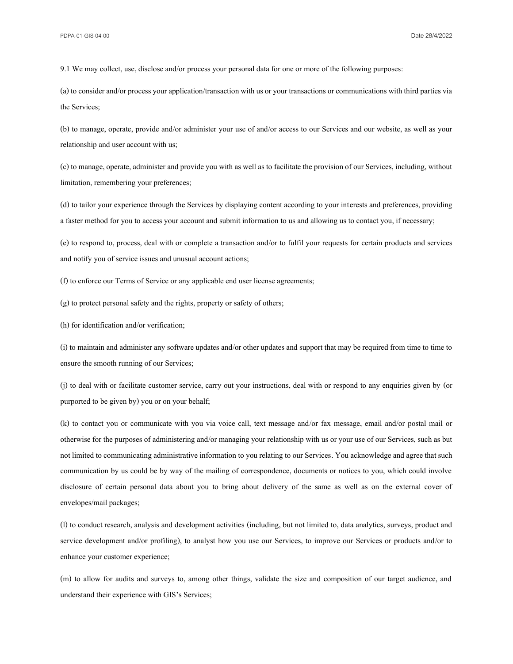9.1 We may collect, use, disclose and/or process your personal data for one or more of the following purposes:

(a) to consider and/or process your application/transaction with us or your transactions or communications with third parties via the Services;

(b) to manage, operate, provide and/or administer your use of and/or access to our Services and our website, as well as your relationship and user account with us;

(c) to manage, operate, administer and provide you with as well as to facilitate the provision of our Services, including, without limitation, remembering your preferences;

(d) to tailor your experience through the Services by displaying content according to your interests and preferences, providing a faster method for you to access your account and submit information to us and allowing us to contact you, if necessary;

(e) to respond to, process, deal with or complete a transaction and/or to fulfil your requests for certain products and services and notify you of service issues and unusual account actions;

(f) to enforce our Terms of Service or any applicable end user license agreements;

(g) to protect personal safety and the rights, property or safety of others;

(h) for identification and/or verification;

(i) to maintain and administer any software updates and/or other updates and support that may be required from time to time to ensure the smooth running of our Services;

(j) to deal with or facilitate customer service, carry out your instructions, deal with or respond to any enquiries given by (or purported to be given by) you or on your behalf;

(k) to contact you or communicate with you via voice call, text message and/or fax message, email and/or postal mail or otherwise for the purposes of administering and/or managing your relationship with us or your use of our Services, such as but not limited to communicating administrative information to you relating to our Services. You acknowledge and agree that such communication by us could be by way of the mailing of correspondence, documents or notices to you, which could involve disclosure of certain personal data about you to bring about delivery of the same as well as on the external cover of envelopes/mail packages;

(l) to conduct research, analysis and development activities (including, but not limited to, data analytics, surveys, product and service development and/or profiling), to analyst how you use our Services, to improve our Services or products and/or to enhance your customer experience;

(m) to allow for audits and surveys to, among other things, validate the size and composition of our target audience, and understand their experience with GIS's Services;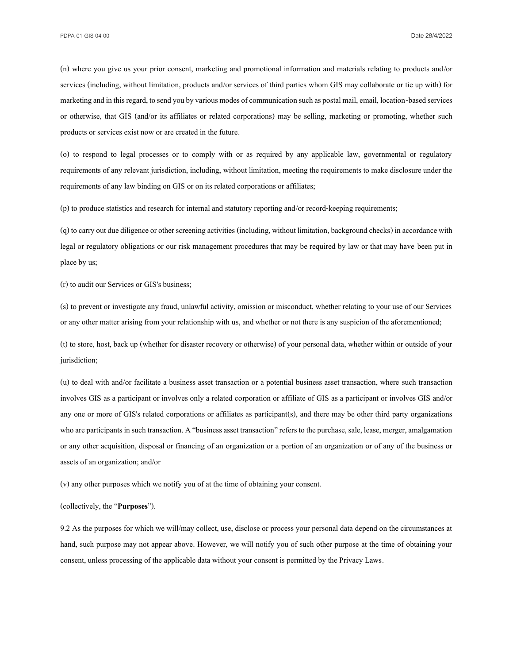(n) where you give us your prior consent, marketing and promotional information and materials relating to products and/or services (including, without limitation, products and/or services of third parties whom GIS may collaborate or tie up with) for marketing and in this regard, to send you by various modes of communication such as postal mail, email, location-based services or otherwise, that GIS (and/or its affiliates or related corporations) may be selling, marketing or promoting, whether such products or services exist now or are created in the future.

(o) to respond to legal processes or to comply with or as required by any applicable law, governmental or regulatory requirements of any relevant jurisdiction, including, without limitation, meeting the requirements to make disclosure under the requirements of any law binding on GIS or on its related corporations or affiliates;

(p) to produce statistics and research for internal and statutory reporting and/or record-keeping requirements;

(q) to carry out due diligence or other screening activities (including, without limitation, background checks) in accordance with legal or regulatory obligations or our risk management procedures that may be required by law or that may have been put in place by us;

(r) to audit our Services or GIS's business;

(s) to prevent or investigate any fraud, unlawful activity, omission or misconduct, whether relating to your use of our Services or any other matter arising from your relationship with us, and whether or not there is any suspicion of the aforementioned;

(t) to store, host, back up (whether for disaster recovery or otherwise) of your personal data, whether within or outside of your jurisdiction;

(u) to deal with and/or facilitate a business asset transaction or a potential business asset transaction, where such transaction involves GIS as a participant or involves only a related corporation or affiliate of GIS as a participant or involves GIS and/or any one or more of GIS's related corporations or affiliates as participant(s), and there may be other third party organizations who are participants in such transaction. A "business asset transaction" refers to the purchase, sale, lease, merger, amalgamation or any other acquisition, disposal or financing of an organization or a portion of an organization or of any of the business or assets of an organization; and/or

(v) any other purposes which we notify you of at the time of obtaining your consent.

(collectively, the "**Purposes**").

9.2 As the purposes for which we will/may collect, use, disclose or process your personal data depend on the circumstances at hand, such purpose may not appear above. However, we will notify you of such other purpose at the time of obtaining your consent, unless processing of the applicable data without your consent is permitted by the Privacy Laws.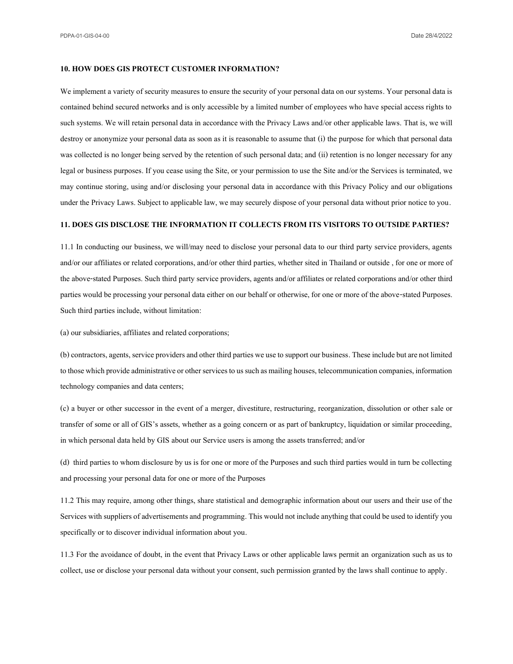PDPA-01-GIS-04-00 Date 28/4/2022

### **10. HOW DOES GIS PROTECT CUSTOMER INFORMATION?**

We implement a variety of security measures to ensure the security of your personal data on our systems. Your personal data is contained behind secured networks and is only accessible by a limited number of employees who have special access rights to such systems. We will retain personal data in accordance with the Privacy Laws and/or other applicable laws. That is, we will destroy or anonymize your personal data as soon as it is reasonable to assume that (i) the purpose for which that personal data was collected is no longer being served by the retention of such personal data; and (ii) retention is no longer necessary for any legal or business purposes. If you cease using the Site, or your permission to use the Site and/or the Services is terminated, we may continue storing, using and/or disclosing your personal data in accordance with this Privacy Policy and our obligations under the Privacy Laws. Subject to applicable law, we may securely dispose of your personal data without prior notice to you.

#### **11. DOES GIS DISCLOSE THE INFORMATION IT COLLECTS FROM ITS VISITORS TO OUTSIDE PARTIES?**

11.1 In conducting our business, we will/may need to disclose your personal data to our third party service providers, agents and/or our affiliates or related corporations, and/or other third parties, whether sited in Thailand or outside , for one or more of the above-stated Purposes. Such third party service providers, agents and/or affiliates or related corporations and/or other third parties would be processing your personal data either on our behalf or otherwise, for one or more of the above-stated Purposes. Such third parties include, without limitation:

(a) our subsidiaries, affiliates and related corporations;

(b) contractors, agents, service providers and other third parties we use to support our business. These include but are not limited to those which provide administrative or other services to us such as mailing houses, telecommunication companies, information technology companies and data centers;

(c) a buyer or other successor in the event of a merger, divestiture, restructuring, reorganization, dissolution or other sale or transfer of some or all of GIS's assets, whether as a going concern or as part of bankruptcy, liquidation or similar proceeding, in which personal data held by GIS about our Service users is among the assets transferred; and/or

(d) third parties to whom disclosure by us is for one or more of the Purposes and such third parties would in turn be collecting and processing your personal data for one or more of the Purposes

11.2 This may require, among other things, share statistical and demographic information about our users and their use of the Services with suppliers of advertisements and programming. This would not include anything that could be used to identify you specifically or to discover individual information about you.

11.3 For the avoidance of doubt, in the event that Privacy Laws or other applicable laws permit an organization such as us to collect, use or disclose your personal data without your consent, such permission granted by the laws shall continue to apply.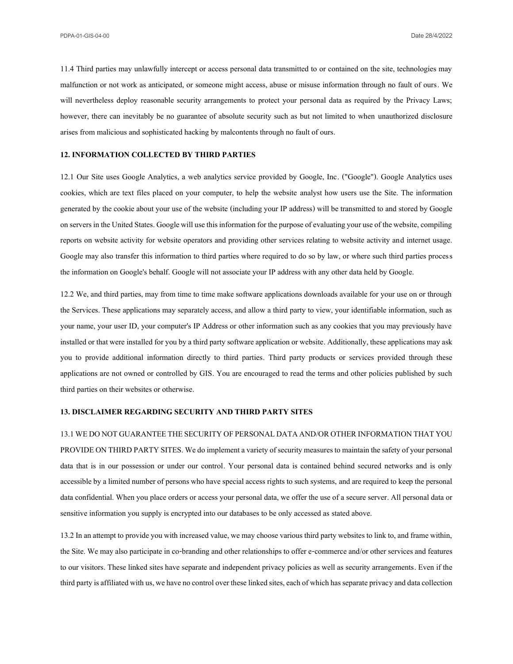11.4 Third parties may unlawfully intercept or access personal data transmitted to or contained on the site, technologies may malfunction or not work as anticipated, or someone might access, abuse or misuse information through no fault of ours. We will nevertheless deploy reasonable security arrangements to protect your personal data as required by the Privacy Laws; however, there can inevitably be no guarantee of absolute security such as but not limited to when unauthorized disclosure arises from malicious and sophisticated hacking by malcontents through no fault of ours.

# **12. INFORMATION COLLECTED BY THIRD PARTIES**

12.1 Our Site uses Google Analytics, a web analytics service provided by Google, Inc. ("Google"). Google Analytics uses cookies, which are text files placed on your computer, to help the website analyst how users use the Site. The information generated by the cookie about your use of the website (including your IP address) will be transmitted to and stored by Google on servers in the United States. Google will use this information for the purpose of evaluating your use of the website, compiling reports on website activity for website operators and providing other services relating to website activity and internet usage. Google may also transfer this information to third parties where required to do so by law, or where such third parties process the information on Google's behalf. Google will not associate your IP address with any other data held by Google.

12.2 We, and third parties, may from time to time make software applications downloads available for your use on or through the Services. These applications may separately access, and allow a third party to view, your identifiable information, such as your name, your user ID, your computer's IP Address or other information such as any cookies that you may previously have installed or that were installed for you by a third party software application or website. Additionally, these applications may ask you to provide additional information directly to third parties. Third party products or services provided through these applications are not owned or controlled by GIS. You are encouraged to read the terms and other policies published by such third parties on their websites or otherwise.

### **13. DISCLAIMER REGARDING SECURITY AND THIRD PARTY SITES**

# 13.1 WE DO NOT GUARANTEE THE SECURITY OF PERSONAL DATA AND/OR OTHER INFORMATION THAT YOU

PROVIDE ON THIRD PARTY SITES. We do implement a variety of security measures to maintain the safety of your personal data that is in our possession or under our control. Your personal data is contained behind secured networks and is only accessible by a limited number of persons who have special access rights to such systems, and are required to keep the personal data confidential. When you place orders or access your personal data, we offer the use of a secure server. All personal data or sensitive information you supply is encrypted into our databases to be only accessed as stated above.

13.2 In an attempt to provide you with increased value, we may choose various third party websites to link to, and frame within, the Site. We may also participate in co-branding and other relationships to offer e-commerce and/orother services and features to our visitors. These linked sites have separate and independent privacy policies as well as security arrangements. Even if the third party is affiliated with us, we have no control over these linked sites, each of which has separate privacy and data collection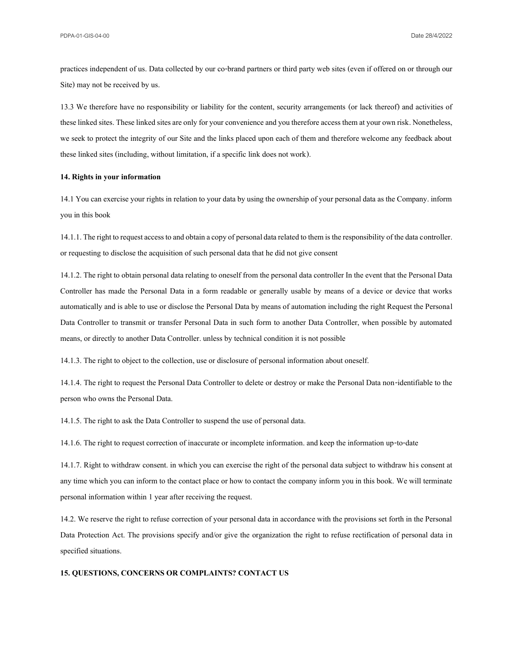practices independent of us. Data collected by our co-brand partners or third party web sites (even if offered on or through our Site) may not be received by us.

13.3 We therefore have no responsibility or liability for the content, security arrangements (or lack thereof) and activities of these linked sites. These linked sites are only for your convenience and you therefore access them at your own risk. Nonetheless, we seek to protect the integrity of our Site and the links placed upon each of them and therefore welcome any feedback about these linked sites (including, without limitation, if a specific link does not work).

#### **14. Rights in your information**

14.1 You can exercise your rights in relation to your data by using the ownership of your personal data as the Company. inform you in this book

14.1.1. The right to request access to and obtain a copy of personal data related to them is the responsibility of the data controller. or requesting to disclose the acquisition of such personal data that he did not give consent

14.1.2. The right to obtain personal data relating to oneself from the personal data controller In the event that the Personal Data Controller has made the Personal Data in a form readable or generally usable by means of a device or device that works automatically and is able to use or disclose the Personal Data by means of automation including the right Request the Personal Data Controller to transmit or transfer Personal Data in such form to another Data Controller, when possible by automated means, or directly to another Data Controller. unless by technical condition it is not possible

14.1.3. The right to object to the collection, use or disclosure of personal information about oneself.

14.1.4. The right to request the Personal Data Controller to delete or destroy or make the Personal Data non-identifiable to the person who owns the Personal Data.

14.1.5. The right to ask the Data Controller to suspend the use of personal data.

14.1.6. The right to request correction of inaccurate or incomplete information. and keep the information up-to-date

14.1.7. Right to withdraw consent. in which you can exercise the right of the personal data subject to withdraw his consent at any time which you can inform to the contact place or how to contact the company inform you in this book. We will terminate personal information within 1 year after receiving the request.

14.2. We reserve the right to refuse correction of your personal data in accordance with the provisions set forth in the Personal Data Protection Act. The provisions specify and/or give the organization the right to refuse rectification of personal data in specified situations.

# **15. QUESTIONS, CONCERNS OR COMPLAINTS? CONTACT US**